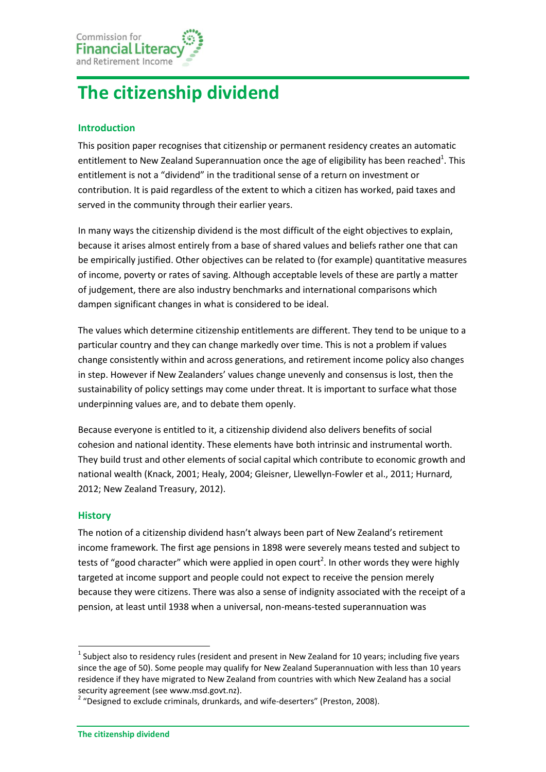

# **The citizenship dividend**

## **Introduction**

This position paper recognises that citizenship or permanent residency creates an automatic entitlement to New Zealand Superannuation once the age of eligibility has been reached<sup>1</sup>. This entitlement is not a "dividend" in the traditional sense of a return on investment or contribution. It is paid regardless of the extent to which a citizen has worked, paid taxes and served in the community through their earlier years.

In many ways the citizenship dividend is the most difficult of the eight objectives to explain, because it arises almost entirely from a base of shared values and beliefs rather one that can be empirically justified. Other objectives can be related to (for example) quantitative measures of income, poverty or rates of saving. Although acceptable levels of these are partly a matter of judgement, there are also industry benchmarks and international comparisons which dampen significant changes in what is considered to be ideal.

The values which determine citizenship entitlements are different. They tend to be unique to a particular country and they can change markedly over time. This is not a problem if values change consistently within and across generations, and retirement income policy also changes in step. However if New Zealanders' values change unevenly and consensus is lost, then the sustainability of policy settings may come under threat. It is important to surface what those underpinning values are, and to debate them openly.

Because everyone is entitled to it, a citizenship dividend also delivers benefits of social cohesion and national identity. These elements have both intrinsic and instrumental worth. They build trust and other elements of social capital which contribute to economic growth and national wealth (Knack, 2001; Healy, 2004; Gleisner, Llewellyn-Fowler et al., 2011; Hurnard, 2012; New Zealand Treasury, 2012).

### **History**

1

The notion of a citizenship dividend hasn't always been part of New Zealand's retirement income framework. The first age pensions in 1898 were severely means tested and subject to tests of "good character" which were applied in open court<sup>2</sup>. In other words they were highly targeted at income support and people could not expect to receive the pension merely because they were citizens. There was also a sense of indignity associated with the receipt of a pension, at least until 1938 when a universal, non-means-tested superannuation was

 $^1$  Subject also to residency rules (resident and present in New Zealand for 10 years; including five years since the age of 50). Some people may qualify for New Zealand Superannuation with less than 10 years residence if they have migrated to New Zealand from countries with which New Zealand has a social security agreement (see www.msd.govt.nz).

<sup>&</sup>lt;sup>2</sup> "Designed to exclude criminals, drunkards, and wife-deserters" (Preston, 2008).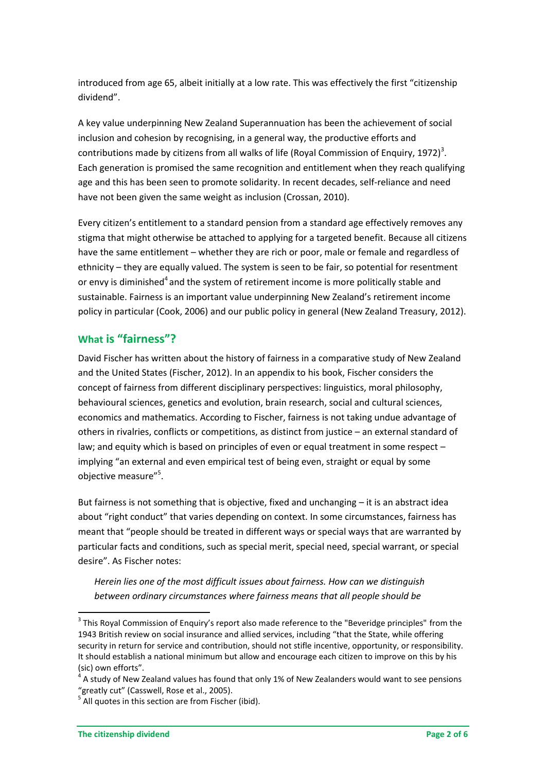introduced from age 65, albeit initially at a low rate. This was effectively the first "citizenship dividend".

A key value underpinning New Zealand Superannuation has been the achievement of social inclusion and cohesion by recognising, in a general way, the productive efforts and contributions made by citizens from all walks of life (Royal Commission of Enquiry, 1972)<sup>3</sup>. Each generation is promised the same recognition and entitlement when they reach qualifying age and this has been seen to promote solidarity. In recent decades, self-reliance and need have not been given the same weight as inclusion (Crossan, 2010).

Every citizen's entitlement to a standard pension from a standard age effectively removes any stigma that might otherwise be attached to applying for a targeted benefit. Because all citizens have the same entitlement – whether they are rich or poor, male or female and regardless of ethnicity – they are equally valued. The system is seen to be fair, so potential for resentment or envy is diminished<sup>4</sup> and the system of retirement income is more politically stable and sustainable. Fairness is an important value underpinning New Zealand's retirement income policy in particular (Cook, 2006) and our public policy in general (New Zealand Treasury, 2012).

## **What is "fairness"?**

David Fischer has written about the history of fairness in a comparative study of New Zealand and the United States (Fischer, 2012). In an appendix to his book, Fischer considers the concept of fairness from different disciplinary perspectives: linguistics, moral philosophy, behavioural sciences, genetics and evolution, brain research, social and cultural sciences, economics and mathematics. According to Fischer, fairness is not taking undue advantage of others in rivalries, conflicts or competitions, as distinct from justice – an external standard of law; and equity which is based on principles of even or equal treatment in some respect – implying "an external and even empirical test of being even, straight or equal by some objective measure"<sup>5</sup>.

But fairness is not something that is objective, fixed and unchanging – it is an abstract idea about "right conduct" that varies depending on context. In some circumstances, fairness has meant that "people should be treated in different ways or special ways that are warranted by particular facts and conditions, such as special merit, special need, special warrant, or special desire". As Fischer notes:

*Herein lies one of the most difficult issues about fairness. How can we distinguish between ordinary circumstances where fairness means that all people should be* 

**.** 

 $3$  This Royal Commission of Enquiry's report also made reference to the "Beveridge principles" from the 1943 British review on social insurance and allied services, including "that the State, while offering security in return for service and contribution, should not stifle incentive, opportunity, or responsibility. It should establish a national minimum but allow and encourage each citizen to improve on this by his (sic) own efforts".

 $4$  A study of New Zealand values has found that only 1% of New Zealanders would want to see pensions "greatly cut" (Casswell, Rose et al., 2005).

<sup>&</sup>lt;sup>5</sup> All quotes in this section are from Fischer (ibid).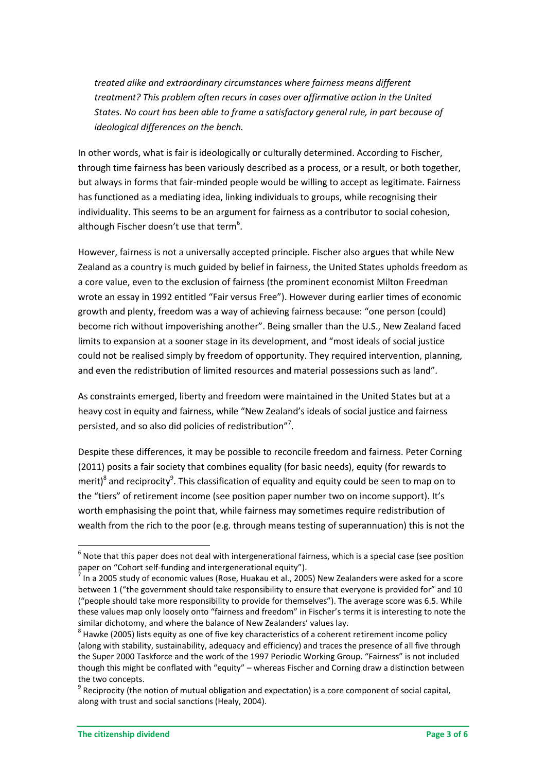*treated alike and extraordinary circumstances where fairness means different treatment? This problem often recurs in cases over affirmative action in the United States. No court has been able to frame a satisfactory general rule, in part because of ideological differences on the bench.* 

In other words, what is fair is ideologically or culturally determined. According to Fischer, through time fairness has been variously described as a process, or a result, or both together, but always in forms that fair-minded people would be willing to accept as legitimate. Fairness has functioned as a mediating idea, linking individuals to groups, while recognising their individuality. This seems to be an argument for fairness as a contributor to social cohesion, although Fischer doesn't use that term<sup>6</sup>.

However, fairness is not a universally accepted principle. Fischer also argues that while New Zealand as a country is much guided by belief in fairness, the United States upholds freedom as a core value, even to the exclusion of fairness (the prominent economist Milton Freedman wrote an essay in 1992 entitled "Fair versus Free"). However during earlier times of economic growth and plenty, freedom was a way of achieving fairness because: "one person (could) become rich without impoverishing another". Being smaller than the U.S., New Zealand faced limits to expansion at a sooner stage in its development, and "most ideals of social justice could not be realised simply by freedom of opportunity. They required intervention, planning, and even the redistribution of limited resources and material possessions such as land".

As constraints emerged, liberty and freedom were maintained in the United States but at a heavy cost in equity and fairness, while "New Zealand's ideals of social justice and fairness persisted, and so also did policies of redistribution"<sup>7</sup>.

Despite these differences, it may be possible to reconcile freedom and fairness. Peter Corning (2011) posits a fair society that combines equality (for basic needs), equity (for rewards to merit)<sup>8</sup> and reciprocity<sup>9</sup>. This classification of equality and equity could be seen to map on to the "tiers" of retirement income (see position paper number two on income support). It's worth emphasising the point that, while fairness may sometimes require redistribution of wealth from the rich to the poor (e.g. through means testing of superannuation) this is not the

1

 $<sup>6</sup>$  Note that this paper does not deal with intergenerational fairness, which is a special case (see position</sup> paper on "Cohort self-funding and intergenerational equity").

 $<sup>7</sup>$  In a 2005 study of economic values (Rose, Huakau et al., 2005) New Zealanders were asked for a score</sup> between 1 ("the government should take responsibility to ensure that everyone is provided for" and 10 ("people should take more responsibility to provide for themselves"). The average score was 6.5. While these values map only loosely onto "fairness and freedom" in Fischer's terms it is interesting to note the similar dichotomy, and where the balance of New Zealanders' values lay.

 $^8$  Hawke (2005) lists equity as one of five key characteristics of a coherent retirement income policy (along with stability, sustainability, adequacy and efficiency) and traces the presence of all five through the Super 2000 Taskforce and the work of the 1997 Periodic Working Group. "Fairness" is not included though this might be conflated with "equity" – whereas Fischer and Corning draw a distinction between the two concepts.

 $9$  Reciprocity (the notion of mutual obligation and expectation) is a core component of social capital, along with trust and social sanctions (Healy, 2004).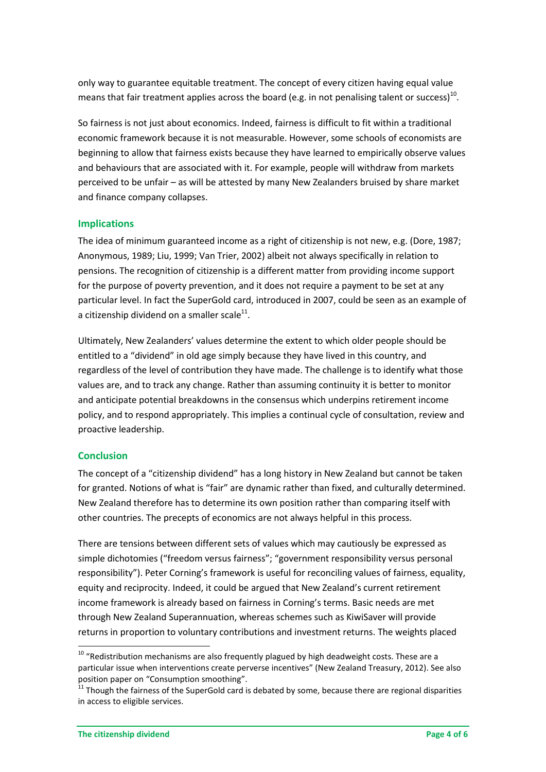only way to guarantee equitable treatment. The concept of every citizen having equal value means that fair treatment applies across the board (e.g. in not penalising talent or success)<sup>10</sup>.

So fairness is not just about economics. Indeed, fairness is difficult to fit within a traditional economic framework because it is not measurable. However, some schools of economists are beginning to allow that fairness exists because they have learned to empirically observe values and behaviours that are associated with it. For example, people will withdraw from markets perceived to be unfair – as will be attested by many New Zealanders bruised by share market and finance company collapses.

### **Implications**

The idea of minimum guaranteed income as a right of citizenship is not new, e.g. (Dore, 1987; Anonymous, 1989; Liu, 1999; Van Trier, 2002) albeit not always specifically in relation to pensions. The recognition of citizenship is a different matter from providing income support for the purpose of poverty prevention, and it does not require a payment to be set at any particular level. In fact the SuperGold card, introduced in 2007, could be seen as an example of a citizenship dividend on a smaller scale $^{11}$ .

Ultimately, New Zealanders' values determine the extent to which older people should be entitled to a "dividend" in old age simply because they have lived in this country, and regardless of the level of contribution they have made. The challenge is to identify what those values are, and to track any change. Rather than assuming continuity it is better to monitor and anticipate potential breakdowns in the consensus which underpins retirement income policy, and to respond appropriately. This implies a continual cycle of consultation, review and proactive leadership.

## **Conclusion**

1

The concept of a "citizenship dividend" has a long history in New Zealand but cannot be taken for granted. Notions of what is "fair" are dynamic rather than fixed, and culturally determined. New Zealand therefore has to determine its own position rather than comparing itself with other countries. The precepts of economics are not always helpful in this process.

There are tensions between different sets of values which may cautiously be expressed as simple dichotomies ("freedom versus fairness"; "government responsibility versus personal responsibility"). Peter Corning's framework is useful for reconciling values of fairness, equality, equity and reciprocity. Indeed, it could be argued that New Zealand's current retirement income framework is already based on fairness in Corning's terms. Basic needs are met through New Zealand Superannuation, whereas schemes such as KiwiSaver will provide returns in proportion to voluntary contributions and investment returns. The weights placed

 $10$  "Redistribution mechanisms are also frequently plagued by high deadweight costs. These are a particular issue when interventions create perverse incentives" (New Zealand Treasury, 2012). See also position paper on "Consumption smoothing".

<sup>11</sup> Though the fairness of the SuperGold card is debated by some, because there are regional disparities in access to eligible services.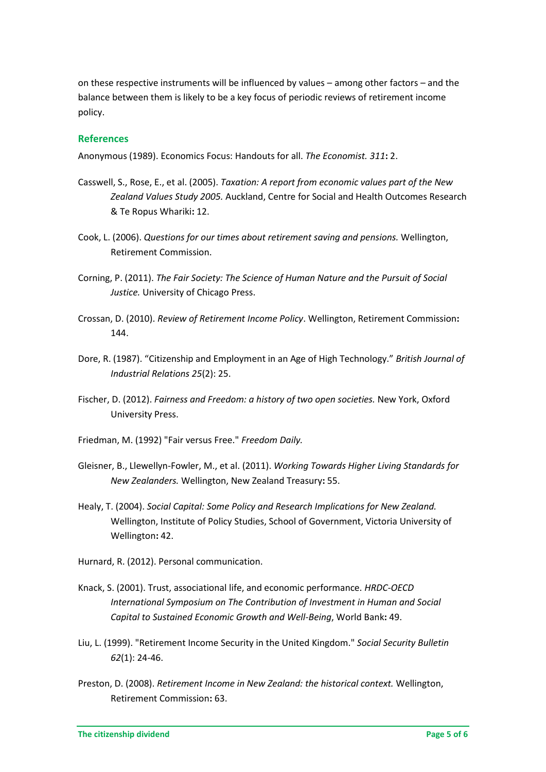on these respective instruments will be influenced by values – among other factors – and the balance between them is likely to be a key focus of periodic reviews of retirement income policy.

#### **References**

Anonymous (1989). Economics Focus: Handouts for all. *The Economist. 311***:** 2.

- Casswell, S., Rose, E., et al. (2005). *Taxation: A report from economic values part of the New Zealand Values Study 2005.* Auckland, Centre for Social and Health Outcomes Research & Te Ropus Whariki**:** 12.
- Cook, L. (2006). *Questions for our times about retirement saving and pensions.* Wellington, Retirement Commission.
- Corning, P. (2011). *The Fair Society: The Science of Human Nature and the Pursuit of Social Justice.* University of Chicago Press.
- Crossan, D. (2010). *Review of Retirement Income Policy*. Wellington, Retirement Commission**:**  144.
- Dore, R. (1987). "Citizenship and Employment in an Age of High Technology." *British Journal of Industrial Relations 25*(2): 25.
- Fischer, D. (2012). *Fairness and Freedom: a history of two open societies.* New York, Oxford University Press.
- Friedman, M. (1992) "Fair versus Free." *Freedom Daily.*
- Gleisner, B., Llewellyn-Fowler, M., et al. (2011). *Working Towards Higher Living Standards for New Zealanders.* Wellington, New Zealand Treasury**:** 55.
- Healy, T. (2004). *Social Capital: Some Policy and Research Implications for New Zealand.* Wellington, Institute of Policy Studies, School of Government, Victoria University of Wellington**:** 42.
- Hurnard, R. (2012). Personal communication.
- Knack, S. (2001). Trust, associational life, and economic performance. *HRDC-OECD International Symposium on The Contribution of Investment in Human and Social Capital to Sustained Economic Growth and Well-Being*, World Bank**:** 49.
- Liu, L. (1999). "Retirement Income Security in the United Kingdom." *Social Security Bulletin 62*(1): 24-46.
- Preston, D. (2008). *Retirement Income in New Zealand: the historical context.* Wellington, Retirement Commission**:** 63.